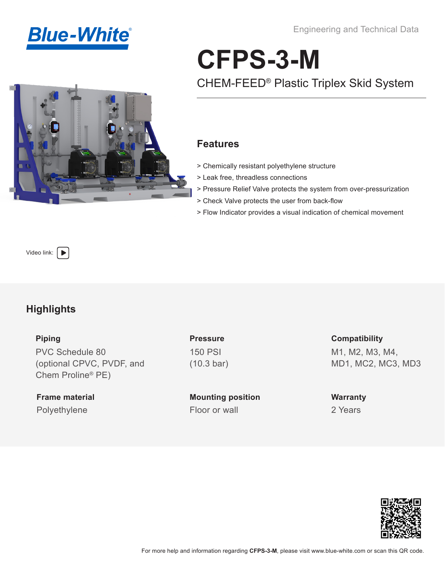**Blue-White®** 

Engineering and Technical Data

# **CFPS-3-M**

## CHEM-FEED® Plastic Triplex Skid System

#### **Features**

- > Chemically resistant polyethylene structure
- > Leak free, threadless connections
- > Pressure Relief Valve protects the system from over-pressurization
- > Check Valve protects the user from back-flow
- > Flow Indicator provides a visual indication of chemical movement

[Video link:](https://www.youtube.com/playlist?list=PLhdL_scmDDq6PaaaOjqm7F-hvdHIkZtyM)  $\left\vert \rule{0pt}{10pt}\right\vert$ 

### **Highlights**

**Piping** 

PVC Schedule 80 (optional CPVC, PVDF, and Chem Proline® PE)

**Frame material** Polyethylene Floor or wall

**Pressure** 150 PSI (10.3 bar)

**Mounting position**

**Compatibility** M1, M2, M3, M4, MD1, MC2, MC3, MD3

**Warranty** 2 Years

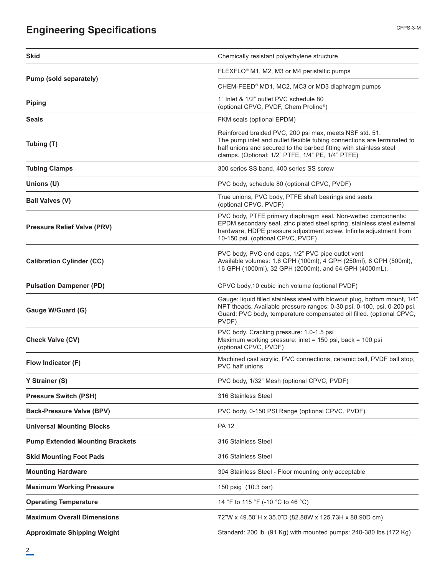### **Engineering Specifications**

| <b>Skid</b>                            | Chemically resistant polyethylene structure                                                                                                                                                                                                                   |  |  |  |
|----------------------------------------|---------------------------------------------------------------------------------------------------------------------------------------------------------------------------------------------------------------------------------------------------------------|--|--|--|
|                                        | FLEXFLO® M1, M2, M3 or M4 peristaltic pumps                                                                                                                                                                                                                   |  |  |  |
| Pump (sold separately)                 | CHEM-FEED <sup>®</sup> MD1, MC2, MC3 or MD3 diaphragm pumps                                                                                                                                                                                                   |  |  |  |
| <b>Piping</b>                          | 1" Inlet & 1/2" outlet PVC schedule 80<br>(optional CPVC, PVDF, Chem Proline®)                                                                                                                                                                                |  |  |  |
| Seals                                  | FKM seals (optional EPDM)                                                                                                                                                                                                                                     |  |  |  |
| Tubing (T)                             | Reinforced braided PVC, 200 psi max, meets NSF std. 51.<br>The pump inlet and outlet flexible tubing connections are terminated to<br>half unions and secured to the barbed fitting with stainless steel<br>clamps. (Optional: 1/2" PTFE, 1/4" PE, 1/4" PTFE) |  |  |  |
| <b>Tubing Clamps</b>                   | 300 series SS band, 400 series SS screw                                                                                                                                                                                                                       |  |  |  |
| Unions (U)                             | PVC body, schedule 80 (optional CPVC, PVDF)                                                                                                                                                                                                                   |  |  |  |
| <b>Ball Valves (V)</b>                 | True unions, PVC body, PTFE shaft bearings and seats<br>(optional CPVC, PVDF)                                                                                                                                                                                 |  |  |  |
| <b>Pressure Relief Valve (PRV)</b>     | PVC body, PTFE primary diaphragm seal. Non-wetted components:<br>EPDM secondary seal, zinc plated steel spring, stainless steel external<br>hardware, HDPE pressure adjustment screw. Infinite adjustment from<br>10-150 psi. (optional CPVC, PVDF)           |  |  |  |
| <b>Calibration Cylinder (CC)</b>       | PVC body, PVC end caps, 1/2" PVC pipe outlet vent<br>Available volumes: 1.6 GPH (100ml), 4 GPH (250ml), 8 GPH (500ml),<br>16 GPH (1000ml), 32 GPH (2000ml), and 64 GPH (4000mL).                                                                              |  |  |  |
| <b>Pulsation Dampener (PD)</b>         | CPVC body, 10 cubic inch volume (optional PVDF)                                                                                                                                                                                                               |  |  |  |
| Gauge W/Guard (G)                      | Gauge: liquid filled stainless steel with blowout plug, bottom mount, 1/4"<br>NPT theads. Available pressure ranges: 0-30 psi, 0-100, psi, 0-200 psi.<br>Guard: PVC body, temperature compensated oil filled. (optional CPVC,<br>PVDF)                        |  |  |  |
| <b>Check Valve (CV)</b>                | PVC body. Cracking pressure: 1.0-1.5 psi<br>Maximum working pressure: inlet = 150 psi, back = 100 psi<br>(optional CPVC, PVDF)                                                                                                                                |  |  |  |
| Flow Indicator (F)                     | Machined cast acrylic, PVC connections, ceramic ball, PVDF ball stop,<br>PVC half unions                                                                                                                                                                      |  |  |  |
| Y Strainer (S)                         | PVC body, 1/32" Mesh (optional CPVC, PVDF)                                                                                                                                                                                                                    |  |  |  |
| <b>Pressure Switch (PSH)</b>           | 316 Stainless Steel                                                                                                                                                                                                                                           |  |  |  |
| <b>Back-Pressure Valve (BPV)</b>       | PVC body, 0-150 PSI Range (optional CPVC, PVDF)                                                                                                                                                                                                               |  |  |  |
| <b>Universal Mounting Blocks</b>       | <b>PA 12</b>                                                                                                                                                                                                                                                  |  |  |  |
| <b>Pump Extended Mounting Brackets</b> | 316 Stainless Steel                                                                                                                                                                                                                                           |  |  |  |
| <b>Skid Mounting Foot Pads</b>         | 316 Stainless Steel                                                                                                                                                                                                                                           |  |  |  |
| <b>Mounting Hardware</b>               | 304 Stainless Steel - Floor mounting only acceptable                                                                                                                                                                                                          |  |  |  |
| <b>Maximum Working Pressure</b>        | 150 psig (10.3 bar)                                                                                                                                                                                                                                           |  |  |  |
| <b>Operating Temperature</b>           | 14 °F to 115 °F (-10 °C to 46 °C)                                                                                                                                                                                                                             |  |  |  |
| <b>Maximum Overall Dimensions</b>      | 72"W x 49.50"H x 35.0"D (82.88W x 125.73H x 88.90D cm)                                                                                                                                                                                                        |  |  |  |
| <b>Approximate Shipping Weight</b>     | Standard: 200 lb. (91 Kg) with mounted pumps: 240-380 lbs (172 Kg)                                                                                                                                                                                            |  |  |  |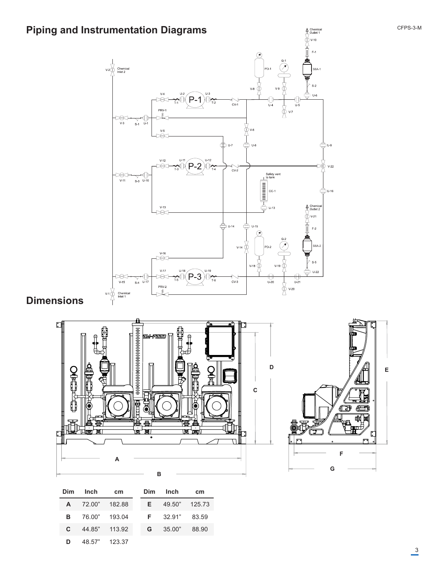



| <b>Dim</b>   | Inch                   | cm | Dim | Inch               | cm    |
|--------------|------------------------|----|-----|--------------------|-------|
|              | A 72.00" 182.88        |    |     | E 49.50" 125.73    |       |
|              | <b>B</b> 76.00" 193.04 |    |     | $F = 32.91"$ 83.59 |       |
| $\mathbf{c}$ | 44.85" 113.92          |    | G   | 35.00"             | 88.90 |
| D            | 48.57" 123.37          |    |     |                    |       |